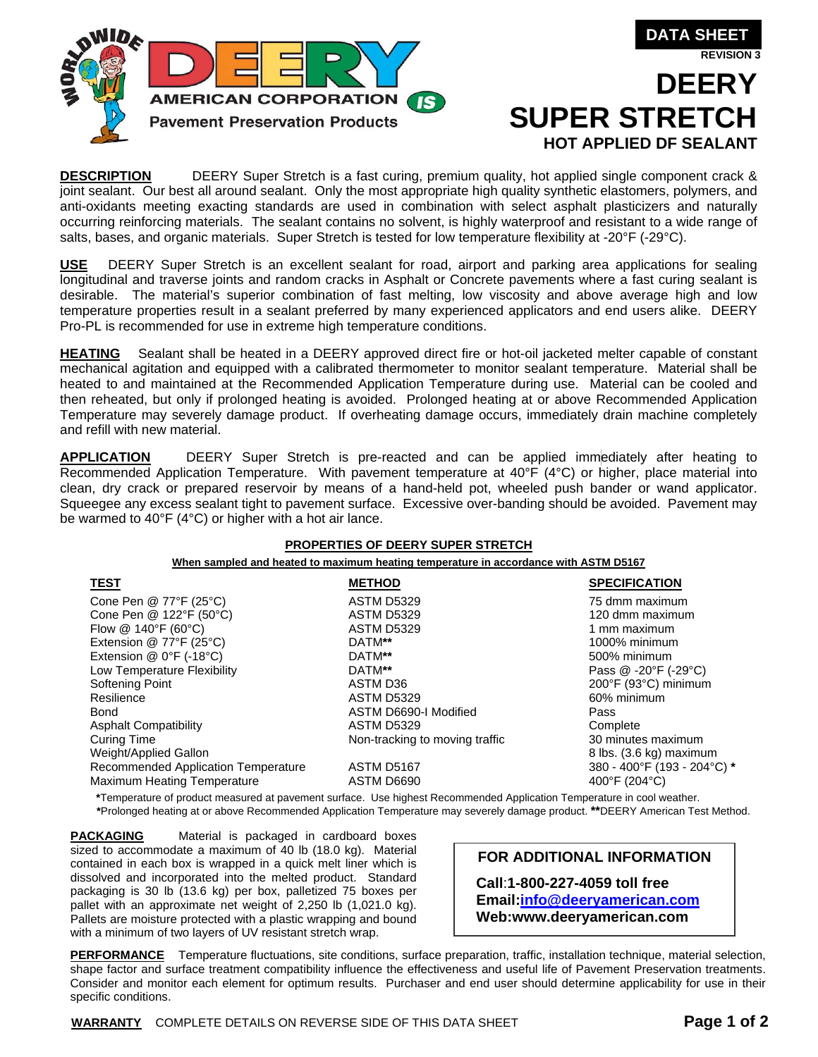

**REVISION 3**

# **DEERY HOT APPLIED DF SEALANT**

**DESCRIPTION** DEERY Super Stretch is a fast curing, premium quality, hot applied single component crack & joint sealant. Our best all around sealant. Only the most appropriate high quality synthetic elastomers, polymers, and anti-oxidants meeting exacting standards are used in combination with select asphalt plasticizers and naturally occurring reinforcing materials. The sealant contains no solvent, is highly waterproof and resistant to a wide range of salts, bases, and organic materials. Super Stretch is tested for low temperature flexibility at -20°F (-29°C).

**USE** DEERY Super Stretch is an excellent sealant for road, airport and parking area applications for sealing longitudinal and traverse joints and random cracks in Asphalt or Concrete pavements where a fast curing sealant is desirable. The material's superior combination of fast melting, low viscosity and above average high and low temperature properties result in a sealant preferred by many experienced applicators and end users alike. DEERY Pro-PL is recommended for use in extreme high temperature conditions.

**HEATING** Sealant shall be heated in a DEERY approved direct fire or hot-oil jacketed melter capable of constant mechanical agitation and equipped with a calibrated thermometer to monitor sealant temperature. Material shall be heated to and maintained at the Recommended Application Temperature during use. Material can be cooled and then reheated, but only if prolonged heating is avoided. Prolonged heating at or above Recommended Application Temperature may severely damage product. If overheating damage occurs, immediately drain machine completely and refill with new material.

**APPLICATION** DEERY Super Stretch is pre-reacted and can be applied immediately after heating to Recommended Application Temperature. With pavement temperature at 40°F (4°C) or higher, place material into clean, dry crack or prepared reservoir by means of a hand-held pot, wheeled push bander or wand applicator. Squeegee any excess sealant tight to pavement surface. Excessive over-banding should be avoided. Pavement may be warmed to 40°F (4°C) or higher with a hot air lance.

#### **PROPERTIES OF DEERY SUPER STRETCH**

**When sampled and heated to maximum heating temperature in accordance with ASTM D5167**

| <u>TEST</u>                         | <b>METHOD</b>                  | <b>SPECIFICATION</b>        |
|-------------------------------------|--------------------------------|-----------------------------|
| Cone Pen @ 77°F (25°C)              | ASTM D5329                     | 75 dmm maximum              |
| Cone Pen @ 122°F (50°C)             | <b>ASTM D5329</b>              | 120 dmm maximum             |
| Flow $@$ 140°F (60°C)               | <b>ASTM D5329</b>              | 1 mm maximum                |
| Extension @ 77°F (25°C)             | DATM**                         | 1000% minimum               |
| Extension $@$ 0°F (-18°C)           | DATM**                         | 500% minimum                |
| Low Temperature Flexibility         | DATM**                         | Pass @ -20°F (-29°C)        |
| Softening Point                     | ASTM D36                       | 200°F (93°C) minimum        |
| Resilience                          | <b>ASTM D5329</b>              | 60% minimum                 |
| <b>Bond</b>                         | ASTM D6690-I Modified          | Pass                        |
| <b>Asphalt Compatibility</b>        | <b>ASTM D5329</b>              | Complete                    |
| <b>Curing Time</b>                  | Non-tracking to moving traffic | 30 minutes maximum          |
| Weight/Applied Gallon               |                                | 8 lbs. (3.6 kg) maximum     |
| Recommended Application Temperature | ASTM D5167                     | 380 - 400°F (193 - 204°C) * |
| <b>Maximum Heating Temperature</b>  | ASTM D6690                     | 400°F (204°C)               |

**\***Temperature of product measured at pavement surface. Use highest Recommended Application Temperature in cool weather. **\***Prolonged heating at or above Recommended Application Temperature may severely damage product. **\*\***DEERY American Test Method.

**PACKAGING** Material is packaged in cardboard boxes sized to accommodate a maximum of 40 lb (18.0 kg). Material contained in each box is wrapped in a quick melt liner which is dissolved and incorporated into the melted product. Standard packaging is 30 lb (13.6 kg) per box, palletized 75 boxes per pallet with an approximate net weight of 2,250 lb (1,021.0 kg). Pallets are moisture protected with a plastic wrapping and bound with a minimum of two layers of UV resistant stretch wrap.

**FOR ADDITIONAL INFORMATION** 

**Call**:**1-800-227-4059 toll free Email:info@deeryamerican.com Web:www.deeryamerican.com** 

**PERFORMANCE** Temperature fluctuations, site conditions, surface preparation, traffic, installation technique, material selection, shape factor and surface treatment compatibility influence the effectiveness and useful life of Pavement Preservation treatments. Consider and monitor each element for optimum results. Purchaser and end user should determine applicability for use in their specific conditions.